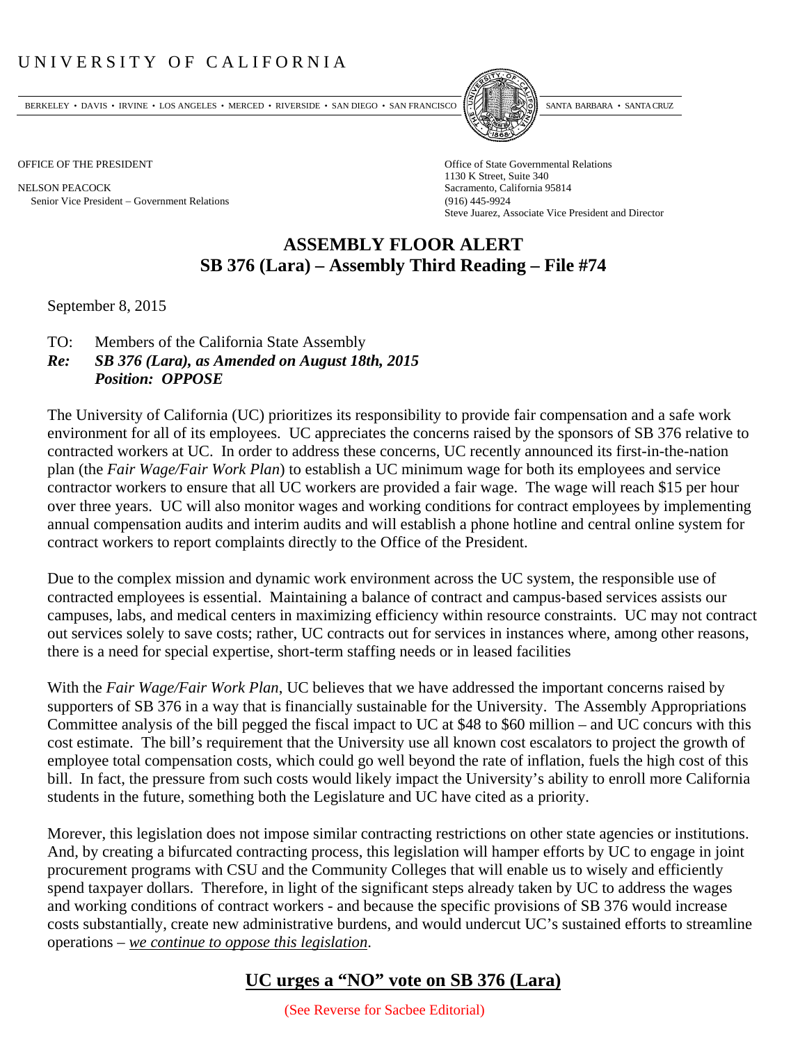## UNIVERSITY OF CALIFORNIA

BERKELEY • DAVIS • IRVINE • LOS ANGELES • MERCED • RIVERSIDE • SAN DIEGO • SAN FRANCISCO PARTA EXIMITAL BARBARA • SANTA CRUZ

NELSON PEACOCK Sacramento, California 95814 Senior Vice President Government Relations (916) 445-9924



OFFICE OF THE PRESIDENT STATES OF THE PRESIDENT 1130 K Street, Suite 340 Steve Juarez, Associate Vice President and Director

## **ASSEMBLY FLOOR ALERT SB 376 (Lara) – Assembly Third Reading – File #74**

September 8, 2015

- TO: Members of the California State Assembly
- *Re: SB 376 (Lara), as Amended on August 18th, 2015 Position: OPPOSE*

The University of California (UC) prioritizes its responsibility to provide fair compensation and a safe work environment for all of its employees. UC appreciates the concerns raised by the sponsors of SB 376 relative to contracted workers at UC. In order to address these concerns, UC recently announced its first-in-the-nation plan (the *Fair Wage/Fair Work Plan*) to establish a UC minimum wage for both its employees and service contractor workers to ensure that all UC workers are provided a fair wage. The wage will reach \$15 per hour over three years. UC will also monitor wages and working conditions for contract employees by implementing annual compensation audits and interim audits and will establish a phone hotline and central online system for contract workers to report complaints directly to the Office of the President.

Due to the complex mission and dynamic work environment across the UC system, the responsible use of contracted employees is essential. Maintaining a balance of contract and campus‐based services assists our campuses, labs, and medical centers in maximizing efficiency within resource constraints. UC may not contract out services solely to save costs; rather, UC contracts out for services in instances where, among other reasons, there is a need for special expertise, short-term staffing needs or in leased facilities

With the *Fair Wage/Fair Work Plan*, UC believes that we have addressed the important concerns raised by supporters of SB 376 in a way that is financially sustainable for the University. The Assembly Appropriations Committee analysis of the bill pegged the fiscal impact to UC at \$48 to \$60 million – and UC concurs with this cost estimate. The bill's requirement that the University use all known cost escalators to project the growth of employee total compensation costs, which could go well beyond the rate of inflation, fuels the high cost of this bill. In fact, the pressure from such costs would likely impact the University's ability to enroll more California students in the future, something both the Legislature and UC have cited as a priority.

Morever, this legislation does not impose similar contracting restrictions on other state agencies or institutions. And, by creating a bifurcated contracting process, this legislation will hamper efforts by UC to engage in joint procurement programs with CSU and the Community Colleges that will enable us to wisely and efficiently spend taxpayer dollars. Therefore, in light of the significant steps already taken by UC to address the wages and working conditions of contract workers - and because the specific provisions of SB 376 would increase costs substantially, create new administrative burdens, and would undercut UC's sustained efforts to streamline operations – *we continue to oppose this legislation*.

## **UC urges a "NO" vote on SB 376 (Lara)**